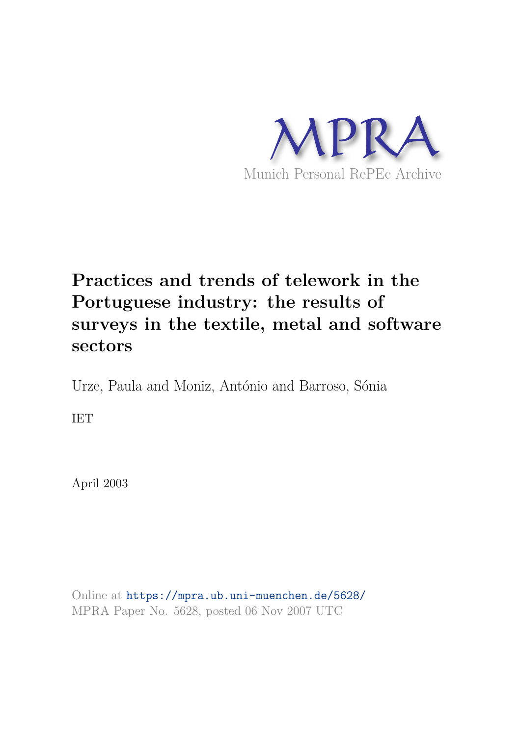

# **Practices and trends of telework in the Portuguese industry: the results of surveys in the textile, metal and software sectors**

Urze, Paula and Moniz, António and Barroso, Sónia

IET

April 2003

Online at https://mpra.ub.uni-muenchen.de/5628/ MPRA Paper No. 5628, posted 06 Nov 2007 UTC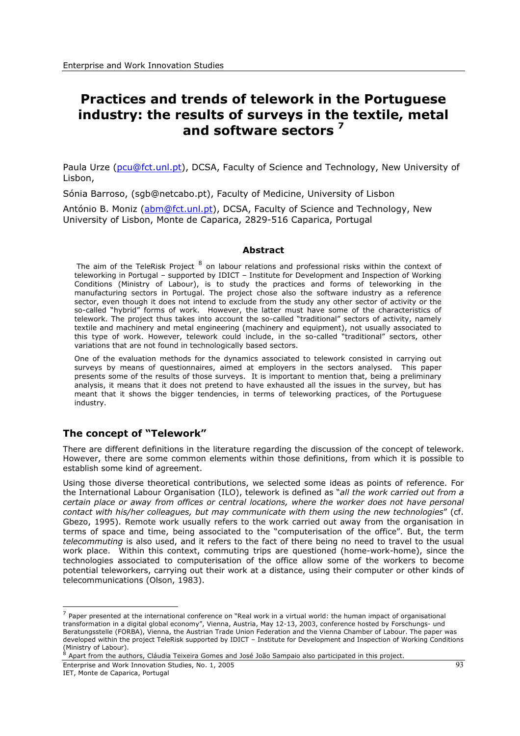# **Practices and trends of telework in the Portuguese industry: the results of surveys in the textile, metal and software sectors <sup>7</sup>**

Paula Urze (pcu@fct.unl.pt), DCSA, Faculty of Science and Technology, New University of Lisbon,

Sónia Barroso, (sgb@netcabo.pt), Faculty of Medicine, University of Lisbon

António B. Moniz (abm@fct.unl.pt), DCSA, Faculty of Science and Technology, New University of Lisbon, Monte de Caparica, 2829-516 Caparica, Portugal

#### **Abstract**

The aim of the TeleRisk Project  $^8$  on labour relations and professional risks within the context of teleworking in Portugal – supported by IDICT – Institute for Development and Inspection of Working Conditions (Ministry of Labour), is to study the practices and forms of teleworking in the manufacturing sectors in Portugal. The project chose also the software industry as a reference sector, even though it does not intend to exclude from the study any other sector of activity or the so-called "hybrid" forms of work. However, the latter must have some of the characteristics of telework. The project thus takes into account the so-called "traditional" sectors of activity, namely textile and machinery and metal engineering (machinery and equipment), not usually associated to this type of work. However, telework could include, in the so-called "traditional" sectors, other variations that are not found in technologically based sectors.

One of the evaluation methods for the dynamics associated to telework consisted in carrying out surveys by means of questionnaires, aimed at employers in the sectors analysed. This paper presents some of the results of those surveys. It is important to mention that, being a preliminary analysis, it means that it does not pretend to have exhausted all the issues in the survey, but has meant that it shows the bigger tendencies, in terms of teleworking practices, of the Portuguese industry.

# **The concept of "Telework"**

There are different definitions in the literature regarding the discussion of the concept of telework. However, there are some common elements within those definitions, from which it is possible to establish some kind of agreement.

Using those diverse theoretical contributions, we selected some ideas as points of reference. For the International Labour Organisation (ILO), telework is defined as "*all the work carried out from a certain place or away from offices or central locations, where the worker does not have personal contact with his/her colleagues, but may communicate with them using the new technologies*" (cf. Gbezo, 1995). Remote work usually refers to the work carried out away from the organisation in terms of space and time, being associated to the "computerisation of the office". But, the term *telecommuting* is also used, and it refers to the fact of there being no need to travel to the usual work place. Within this context, commuting trips are questioned (home-work-home), since the technologies associated to computerisation of the office allow some of the workers to become potential teleworkers, carrying out their work at a distance, using their computer or other kinds of telecommunications (Olson, 1983).

Enterprise and Work Innovation Studies, No. 1, 2005

IET, Monte de Caparica, Portugal

<sup>&</sup>lt;sup>7</sup> Paper presented at the international conference on "Real work in a virtual world: the human impact of organisational transformation in a digital global economy", Vienna, Austria, May 12-13, 2003, conference hosted by Forschungs- und Beratungsstelle (FORBA), Vienna, the Austrian Trade Union Federation and the Vienna Chamber of Labour. The paper was developed within the project TeleRisk supported by IDICT – Institute for Development and Inspection of Working Conditions (Ministry of Labour).

<sup>8</sup> Apart from the authors, Cláudia Teixeira Gomes and José João Sampaio also participated in this project.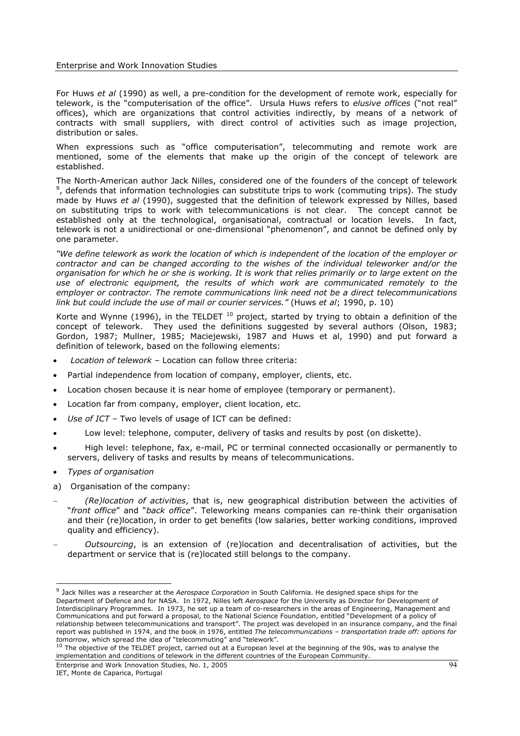#### Enterprise and Work Innovation Studies

For Huws *et al* (1990) as well, a pre-condition for the development of remote work, especially for telework, is the "computerisation of the office". Ursula Huws refers to *elusive offices* ("not real" offices), which are organizations that control activities indirectly, by means of a network of contracts with small suppliers, with direct control of activities such as image projection, distribution or sales.

When expressions such as "office computerisation", telecommuting and remote work are mentioned, some of the elements that make up the origin of the concept of telework are established.

The North-American author Jack Nilles, considered one of the founders of the concept of telework 9 , defends that information technologies can substitute trips to work (commuting trips). The study made by Huws *et al* (1990), suggested that the definition of telework expressed by Nilles, based on substituting trips to work with telecommunications is not clear. The concept cannot be established only at the technological, organisational, contractual or location levels. In fact, telework is not a unidirectional or one-dimensional "phenomenon", and cannot be defined only by one parameter.

*"We define telework as work the location of which is independent of the location of the employer or contractor and can be changed according to the wishes of the individual teleworker and/or the organisation for which he or she is working. It is work that relies primarily or to large extent on the use of electronic equipment, the results of which work are communicated remotely to the employer or contractor. The remote communications link need not be a direct telecommunications link but could include the use of mail or courier services."* (Huws *et al*; 1990, p. 10)

Korte and Wynne (1996), in the TELDET  $10$  project, started by trying to obtain a definition of the concept of telework. They used the definitions suggested by several authors (Olson, 1983; Gordon, 1987; Mullner, 1985; Maciejewski, 1987 and Huws et al, 1990) and put forward a definition of telework, based on the following elements:

- x *Location of telework*  Location can follow three criteria:
- Partial independence from location of company, employer, clients, etc.
- Location chosen because it is near home of employee (temporary or permanent).
- Location far from company, employer, client location, etc.
- Use of ICT Two levels of usage of ICT can be defined:
- Low level: telephone, computer, delivery of tasks and results by post (on diskette).
- High level: telephone, fax, e-mail, PC or terminal connected occasionally or permanently to servers, delivery of tasks and results by means of telecommunications.
- x *Types of organisation*
- a) Organisation of the company:
- *(Re)location of activities*, that is, new geographical distribution between the activities of "*front office*" and "*back office*". Teleworking means companies can re-think their organisation and their (re)location, in order to get benefits (low salaries, better working conditions, improved quality and efficiency).
- *Outsourcing*, is an extension of (re)location and decentralisation of activities, but the department or service that is (re)located still belongs to the company.

<sup>9</sup> Jack Nilles was a researcher at the *Aerospace Corporation* in South California. He designed space ships for the Department of Defence and for NASA. In 1972, Nilles left *Aerospace* for the University as Director for Development of Interdisciplinary Programmes. In 1973, he set up a team of co-researchers in the areas of Engineering, Management and Communications and put forward a proposal, to the National Science Foundation, entitled "Development of a policy of relationship between telecommunications and transport". The project was developed in an insurance company, and the final report was published in 1974, and the book in 1976, entitled *The telecommunications – transportation trade off: options for tomorrow*, which spread the idea of "telecommuting" and "telework".

 $10$  The objective of the TELDET project, carried out at a European level at the beginning of the 90s, was to analyse the implementation and conditions of telework in the different countries of the European Community.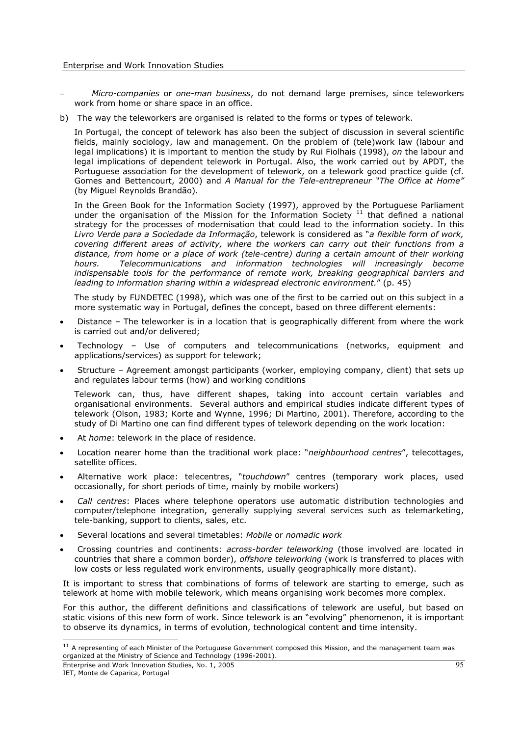- *Micro-companies* or *one-man business*, do not demand large premises, since teleworkers work from home or share space in an office.
- b) The way the teleworkers are organised is related to the forms or types of telework.

In Portugal, the concept of telework has also been the subject of discussion in several scientific fields, mainly sociology, law and management. On the problem of (tele)work law (labour and legal implications) it is important to mention the study by Rui Fiolhais (1998), *on* the labour and legal implications of dependent telework in Portugal. Also, the work carried out by APDT, the Portuguese association for the development of telework, on a telework good practice guide (cf. Gomes and Bettencourt, 2000) and *A Manual for the Tele-entrepreneur "The Office at Home"* (by Miguel Reynolds Brandão).

In the Green Book for the Information Society (1997), approved by the Portuguese Parliament under the organisation of the Mission for the Information Society  $11$  that defined a national strategy for the processes of modernisation that could lead to the information society. In this *Livro Verde para a Sociedade da Informação*, telework is considered as "*a flexible form of work, covering different areas of activity, where the workers can carry out their functions from a distance, from home or a place of work (tele-centre) during a certain amount of their working hours. Telecommunications and information technologies will increasingly become indispensable tools for the performance of remote work, breaking geographical barriers and leading to information sharing within a widespread electronic environment.*" (p. 45)

The study by FUNDETEC (1998), which was one of the first to be carried out on this subject in a more systematic way in Portugal, defines the concept, based on three different elements:

- Distance The teleworker is in a location that is geographically different from where the work is carried out and/or delivered;
- x Technology Use of computers and telecommunications (networks, equipment and applications/services) as support for telework;
- Structure Agreement amongst participants (worker, employing company, client) that sets up and regulates labour terms (how) and working conditions

Telework can, thus, have different shapes, taking into account certain variables and organisational environments. Several authors and empirical studies indicate different types of telework (Olson, 1983; Korte and Wynne, 1996; Di Martino, 2001). Therefore, according to the study of Di Martino one can find different types of telework depending on the work location:

- At *home*: telework in the place of residence.
- Location nearer home than the traditional work place: "*neighbourhood centres"*, telecottages, satellite offices.
- x Alternative work place: telecentres, "*touchdown*" centres (temporary work places, used occasionally, for short periods of time, mainly by mobile workers)
- x *Call centres*: Places where telephone operators use automatic distribution technologies and computer/telephone integration, generally supplying several services such as telemarketing, tele-banking, support to clients, sales, etc.
- x Several locations and several timetables: *Mobile* or *nomadic work*
- x Crossing countries and continents: *across-border teleworking* (those involved are located in countries that share a common border), *offshore teleworking* (work is transferred to places with low costs or less regulated work environments, usually geographically more distant).

It is important to stress that combinations of forms of telework are starting to emerge, such as telework at home with mobile telework, which means organising work becomes more complex.

For this author, the different definitions and classifications of telework are useful, but based on static visions of this new form of work. Since telework is an "evolving" phenomenon, it is important to observe its dynamics, in terms of evolution, technological content and time intensity.

 $11$  A representing of each Minister of the Portuguese Government composed this Mission, and the management team was organized at the Ministry of Science and Technology (1996-2001).

Enterprise and Work Innovation Studies, No. 1, 2005

IET, Monte de Caparica, Portugal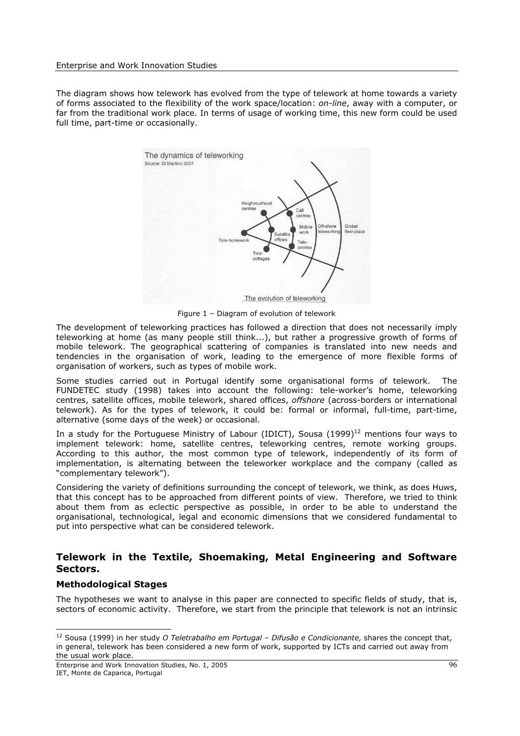#### Enterprise and Work Innovation Studies

The diagram shows how telework has evolved from the type of telework at home towards a variety of forms associated to the flexibility of the work space/location: *on-line*, away with a computer, or far from the traditional work place. In terms of usage of working time, this new form could be used full time, part-time or occasionally.



Figure 1 – Diagram of evolution of telework

The development of teleworking practices has followed a direction that does not necessarily imply teleworking at home (as many people still think...), but rather a progressive growth of forms of mobile telework. The geographical scattering of companies is translated into new needs and tendencies in the organisation of work, leading to the emergence of more flexible forms of organisation of workers, such as types of mobile work.

Some studies carried out in Portugal identify some organisational forms of telework. The FUNDETEC study (1998) takes into account the following: tele-worker's home, teleworking centres, satellite offices, mobile telework, shared offices, *offshore* (across-borders or international telework). As for the types of telework, it could be: formal or informal, full-time, part-time, alternative (some days of the week) or occasional.

In a study for the Portuguese Ministry of Labour (IDICT), Sousa  $(1999)^{12}$  mentions four ways to implement telework: home, satellite centres, teleworking centres, remote working groups. According to this author, the most common type of telework, independently of its form of implementation, is alternating between the teleworker workplace and the company (called as "complementary telework").

Considering the variety of definitions surrounding the concept of telework, we think, as does Huws, that this concept has to be approached from different points of view. Therefore, we tried to think about them from as eclectic perspective as possible, in order to be able to understand the organisational, technological, legal and economic dimensions that we considered fundamental to put into perspective what can be considered telework.

# **Telework in the Textile, Shoemaking, Metal Engineering and Software Sectors.**

#### **Methodological Stages**

The hypotheses we want to analyse in this paper are connected to specific fields of study, that is, sectors of economic activity. Therefore, we start from the principle that telework is not an intrinsic

<sup>12</sup> Sousa (1999) in her study *O Teletrabalho em Portugal – Difusão e Condicionante,* shares the concept that, in general, telework has been considered a new form of work, supported by ICTs and carried out away from the usual work place.

Enterprise and Work Innovation Studies, No. 1, 2005 IET, Monte de Caparica, Portugal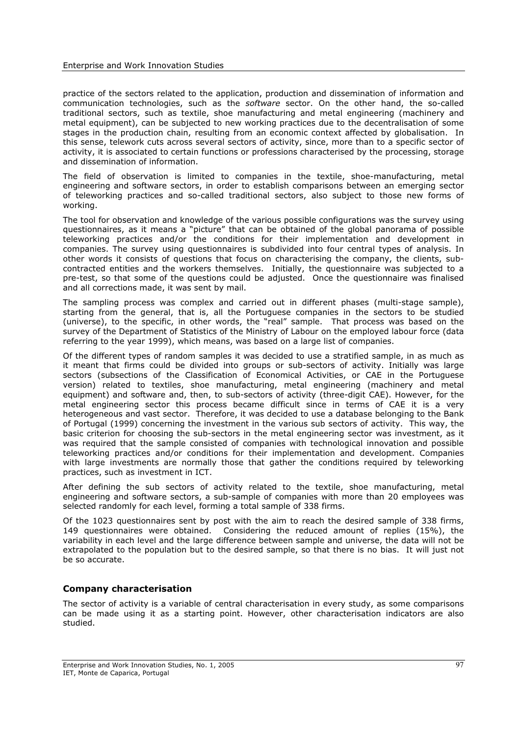practice of the sectors related to the application, production and dissemination of information and communication technologies, such as the *software* sector. On the other hand, the so-called traditional sectors, such as textile, shoe manufacturing and metal engineering (machinery and metal equipment), can be subjected to new working practices due to the decentralisation of some stages in the production chain, resulting from an economic context affected by globalisation. In this sense, telework cuts across several sectors of activity, since, more than to a specific sector of activity, it is associated to certain functions or professions characterised by the processing, storage and dissemination of information.

The field of observation is limited to companies in the textile, shoe-manufacturing, metal engineering and software sectors, in order to establish comparisons between an emerging sector of teleworking practices and so-called traditional sectors, also subject to those new forms of working.

The tool for observation and knowledge of the various possible configurations was the survey using questionnaires, as it means a "picture" that can be obtained of the global panorama of possible teleworking practices and/or the conditions for their implementation and development in companies. The survey using questionnaires is subdivided into four central types of analysis. In other words it consists of questions that focus on characterising the company, the clients, subcontracted entities and the workers themselves. Initially, the questionnaire was subjected to a pre-test, so that some of the questions could be adjusted. Once the questionnaire was finalised and all corrections made, it was sent by mail.

The sampling process was complex and carried out in different phases (multi-stage sample), starting from the general, that is, all the Portuguese companies in the sectors to be studied (universe), to the specific, in other words, the "real" sample. That process was based on the survey of the Department of Statistics of the Ministry of Labour on the employed labour force (data referring to the year 1999), which means, was based on a large list of companies.

Of the different types of random samples it was decided to use a stratified sample, in as much as it meant that firms could be divided into groups or sub-sectors of activity. Initially was large sectors (subsections of the Classification of Economical Activities, or CAE in the Portuguese version) related to textiles, shoe manufacturing, metal engineering (machinery and metal equipment) and software and, then, to sub-sectors of activity (three-digit CAE). However, for the metal engineering sector this process became difficult since in terms of CAE it is a very heterogeneous and vast sector. Therefore, it was decided to use a database belonging to the Bank of Portugal (1999) concerning the investment in the various sub sectors of activity. This way, the basic criterion for choosing the sub-sectors in the metal engineering sector was investment, as it was required that the sample consisted of companies with technological innovation and possible teleworking practices and/or conditions for their implementation and development. Companies with large investments are normally those that gather the conditions required by teleworking practices, such as investment in ICT.

After defining the sub sectors of activity related to the textile, shoe manufacturing, metal engineering and software sectors, a sub-sample of companies with more than 20 employees was selected randomly for each level, forming a total sample of 338 firms.

Of the 1023 questionnaires sent by post with the aim to reach the desired sample of 338 firms, 149 questionnaires were obtained. Considering the reduced amount of replies (15%), the variability in each level and the large difference between sample and universe, the data will not be extrapolated to the population but to the desired sample, so that there is no bias. It will just not be so accurate.

#### **Company characterisation**

The sector of activity is a variable of central characterisation in every study, as some comparisons can be made using it as a starting point. However, other characterisation indicators are also studied.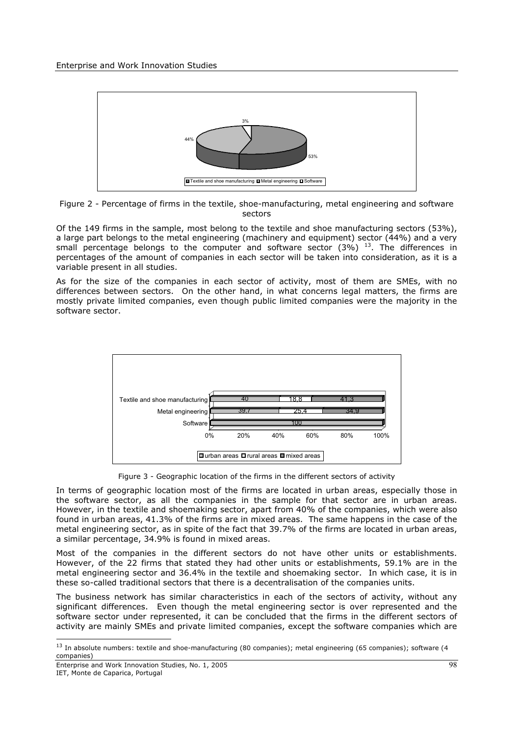

Figure 2 - Percentage of firms in the textile, shoe-manufacturing, metal engineering and software sectors

Of the 149 firms in the sample, most belong to the textile and shoe manufacturing sectors (53%), a large part belongs to the metal engineering (machinery and equipment) sector (44%) and a very small percentage belongs to the computer and software sector  $(3\%)$   $^{13}$ . The differences in percentages of the amount of companies in each sector will be taken into consideration, as it is a variable present in all studies.

As for the size of the companies in each sector of activity, most of them are SMEs, with no differences between sectors. On the other hand, in what concerns legal matters, the firms are mostly private limited companies, even though public limited companies were the majority in the software sector.



Figure 3 - Geographic location of the firms in the different sectors of activity

In terms of geographic location most of the firms are located in urban areas, especially those in the software sector, as all the companies in the sample for that sector are in urban areas. However, in the textile and shoemaking sector, apart from 40% of the companies, which were also found in urban areas, 41.3% of the firms are in mixed areas. The same happens in the case of the metal engineering sector, as in spite of the fact that 39.7% of the firms are located in urban areas, a similar percentage, 34.9% is found in mixed areas.

Most of the companies in the different sectors do not have other units or establishments. However, of the 22 firms that stated they had other units or establishments, 59.1% are in the metal engineering sector and 36.4% in the textile and shoemaking sector. In which case, it is in these so-called traditional sectors that there is a decentralisation of the companies units.

The business network has similar characteristics in each of the sectors of activity, without any significant differences. Even though the metal engineering sector is over represented and the software sector under represented, it can be concluded that the firms in the different sectors of activity are mainly SMEs and private limited companies, except the software companies which are

 $13$  In absolute numbers: textile and shoe-manufacturing (80 companies); metal engineering (65 companies); software (4 companies)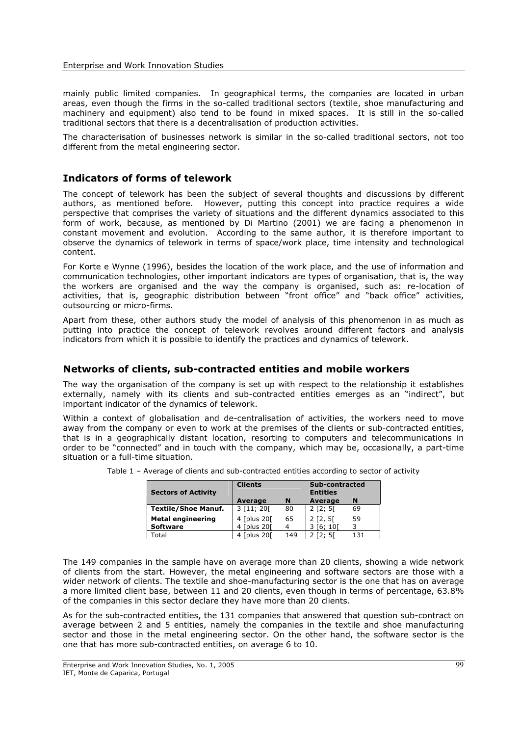mainly public limited companies. In geographical terms, the companies are located in urban areas, even though the firms in the so-called traditional sectors (textile, shoe manufacturing and machinery and equipment) also tend to be found in mixed spaces. It is still in the so-called traditional sectors that there is a decentralisation of production activities.

The characterisation of businesses network is similar in the so-called traditional sectors, not too different from the metal engineering sector.

#### **Indicators of forms of telework**

The concept of telework has been the subject of several thoughts and discussions by different authors, as mentioned before. However, putting this concept into practice requires a wide perspective that comprises the variety of situations and the different dynamics associated to this form of work, because, as mentioned by Di Martino (2001) we are facing a phenomenon in constant movement and evolution. According to the same author, it is therefore important to observe the dynamics of telework in terms of space/work place, time intensity and technological content.

For Korte e Wynne (1996), besides the location of the work place, and the use of information and communication technologies, other important indicators are types of organisation, that is, the way the workers are organised and the way the company is organised, such as: re-location of activities, that is, geographic distribution between "front office" and "back office" activities, outsourcing or micro-firms.

Apart from these, other authors study the model of analysis of this phenomenon in as much as putting into practice the concept of telework revolves around different factors and analysis indicators from which it is possible to identify the practices and dynamics of telework.

#### **Networks of clients, sub-contracted entities and mobile workers**

The way the organisation of the company is set up with respect to the relationship it establishes externally, namely with its clients and sub-contracted entities emerges as an "indirect", but important indicator of the dynamics of telework.

Within a context of globalisation and de-centralisation of activities, the workers need to move away from the company or even to work at the premises of the clients or sub-contracted entities, that is in a geographically distant location, resorting to computers and telecommunications in order to be "connected" and in touch with the company, which may be, occasionally, a part-time situation or a full-time situation.

| <b>Sectors of Activity</b> | <b>Clients</b> |     | Sub-contracted<br><b>Entities</b> |     |  |
|----------------------------|----------------|-----|-----------------------------------|-----|--|
|                            | Average        | N   | Average                           | N   |  |
| <b>Textile/Shoe Manuf.</b> | 3 [11; 20]     | 80  | 2 [2; 5]                          | 69  |  |
| <b>Metal engineering</b>   | 4 [plus 20]    | 65  | $2$ [2, 5]                        | 59  |  |
| <b>Software</b>            | 4 [plus 20]    |     | 3 [6: 10]                         | 3   |  |
| Total                      | 4 [plus 20]    | 149 | [2: 5]                            | 131 |  |

Table 1 – Average of clients and sub-contracted entities according to sector of activity

The 149 companies in the sample have on average more than 20 clients, showing a wide network of clients from the start. However, the metal engineering and software sectors are those with a wider network of clients. The textile and shoe-manufacturing sector is the one that has on average a more limited client base, between 11 and 20 clients, even though in terms of percentage, 63.8% of the companies in this sector declare they have more than 20 clients.

As for the sub-contracted entities, the 131 companies that answered that question sub-contract on average between 2 and 5 entities, namely the companies in the textile and shoe manufacturing sector and those in the metal engineering sector. On the other hand, the software sector is the one that has more sub-contracted entities, on average 6 to 10.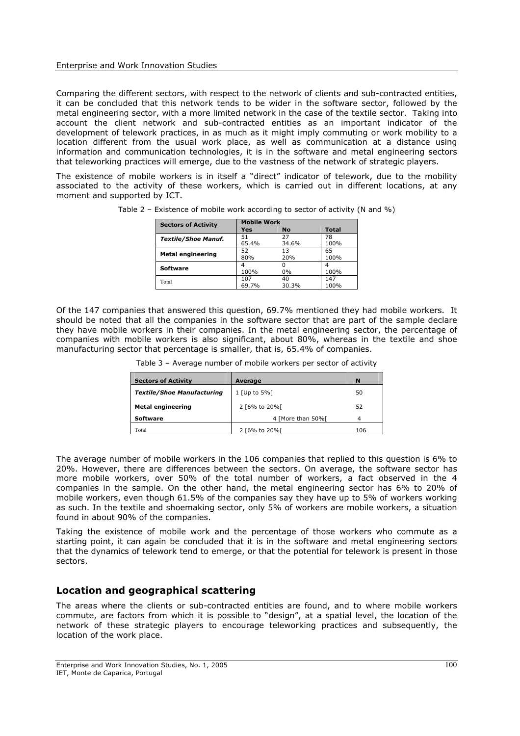Comparing the different sectors, with respect to the network of clients and sub-contracted entities, it can be concluded that this network tends to be wider in the software sector, followed by the metal engineering sector, with a more limited network in the case of the textile sector. Taking into account the client network and sub-contracted entities as an important indicator of the development of telework practices, in as much as it might imply commuting or work mobility to a location different from the usual work place, as well as communication at a distance using information and communication technologies, it is in the software and metal engineering sectors that teleworking practices will emerge, due to the vastness of the network of strategic players.

The existence of mobile workers is in itself a "direct" indicator of telework, due to the mobility associated to the activity of these workers, which is carried out in different locations, at any moment and supported by ICT.

| <b>Sectors of Activity</b> | <b>Mobile Work</b> |           |              |  |  |  |  |
|----------------------------|--------------------|-----------|--------------|--|--|--|--|
|                            | Yes                | <b>No</b> | <b>Total</b> |  |  |  |  |
| <b>Textile/Shoe Manuf.</b> | 51                 | 27        | 78           |  |  |  |  |
|                            | 65.4%              | 34.6%     | 100%         |  |  |  |  |
| <b>Metal engineering</b>   | 52                 | 13        | 65           |  |  |  |  |
|                            | 80%                | 20%       | 100%         |  |  |  |  |
| <b>Software</b>            |                    |           |              |  |  |  |  |
|                            | 100%               | 0%        | 100%         |  |  |  |  |
| Total                      | 107                | 40        | 147          |  |  |  |  |
|                            | 69.7%              | 30.3%     | 100%         |  |  |  |  |

Table 2 – Existence of mobile work according to sector of activity (N and %)

Of the 147 companies that answered this question, 69.7% mentioned they had mobile workers. It should be noted that all the companies in the software sector that are part of the sample declare they have mobile workers in their companies. In the metal engineering sector, the percentage of companies with mobile workers is also significant, about 80%, whereas in the textile and shoe manufacturing sector that percentage is smaller, that is, 65.4% of companies.

| <b>Sectors of Activity</b>        | Average           | N  |
|-----------------------------------|-------------------|----|
| <b>Textile/Shoe Manufacturing</b> | $1$ [Up to 5%]    | 50 |
| <b>Metal engineering</b>          | 2 [6% to 20%]     | 52 |
| <b>Software</b>                   | 4 [More than 50%] | Δ  |

 $\frac{1}{2}$  Total 2  $\frac{106}{2}$ 

Table 3 – Average number of mobile workers per sector of activity

The average number of mobile workers in the 106 companies that replied to this question is 6% to 20%. However, there are differences between the sectors. On average, the software sector has more mobile workers, over 50% of the total number of workers, a fact observed in the 4 companies in the sample. On the other hand, the metal engineering sector has 6% to 20% of mobile workers, even though 61.5% of the companies say they have up to 5% of workers working as such. In the textile and shoemaking sector, only 5% of workers are mobile workers, a situation found in about 90% of the companies.

Taking the existence of mobile work and the percentage of those workers who commute as a starting point, it can again be concluded that it is in the software and metal engineering sectors that the dynamics of telework tend to emerge, or that the potential for telework is present in those sectors.

# **Location and geographical scattering**

The areas where the clients or sub-contracted entities are found, and to where mobile workers commute, are factors from which it is possible to "design", at a spatial level, the location of the network of these strategic players to encourage teleworking practices and subsequently, the location of the work place.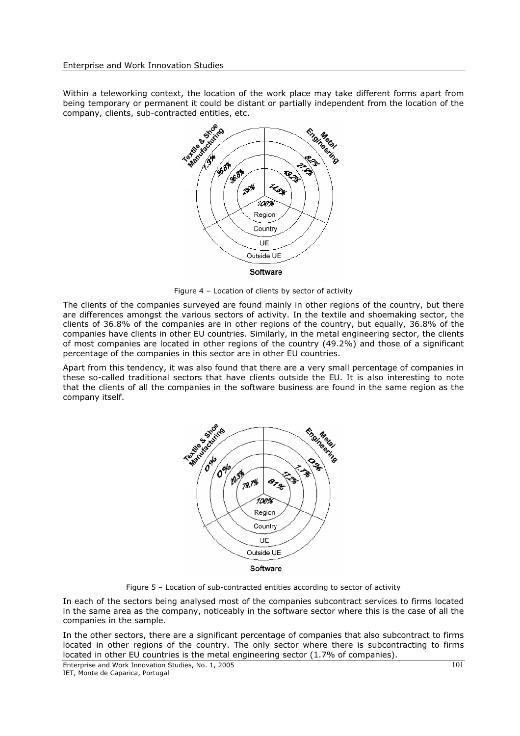Within a teleworking context, the location of the work place may take different forms apart from being temporary or permanent it could be distant or partially independent from the location of the



Figure 4 – Location of clients by sector of activity

The clients of the companies surveyed are found mainly in other regions of the country, but there are differences amongst the various sectors of activity. In the textile and shoemaking sector, the clients of 36.8% of the companies are in other regions of the country, but equally, 36.8% of the companies have clients in other EU countries. Similarly, in the metal engineering sector, the clients of most companies are located in other regions of the country (49.2%) and those of a significant percentage of the companies in this sector are in other EU countries.

Apart from this tendency, it was also found that there are a very small percentage of companies in these so-called traditional sectors that have clients outside the EU. It is also interesting to note that the clients of all the companies in the software business are found in the same region as the company itself.



Figure 5 – Location of sub-contracted entities according to sector of activity

In each of the sectors being analysed most of the companies subcontract services to firms located in the same area as the company, noticeably in the software sector where this is the case of all the companies in the sample.

In the other sectors, there are a significant percentage of companies that also subcontract to firms located in other regions of the country. The only sector where there is subcontracting to firms located in other EU countries is the metal engineering sector (1.7% of companies).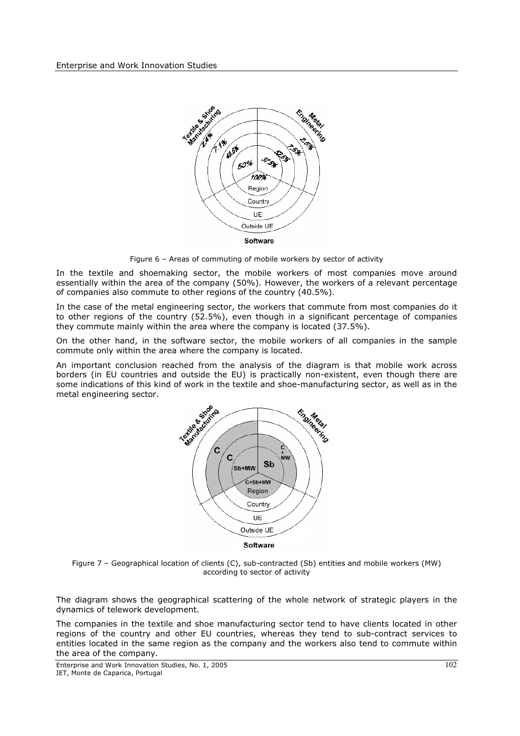

Figure 6 – Areas of commuting of mobile workers by sector of activity

In the textile and shoemaking sector, the mobile workers of most companies move around essentially within the area of the company (50%). However, the workers of a relevant percentage of companies also commute to other regions of the country (40.5%).

In the case of the metal engineering sector, the workers that commute from most companies do it to other regions of the country (52.5%), even though in a significant percentage of companies they commute mainly within the area where the company is located (37.5%).

On the other hand, in the software sector, the mobile workers of all companies in the sample commute only within the area where the company is located.

An important conclusion reached from the analysis of the diagram is that mobile work across borders (in EU countries and outside the EU) is practically non-existent, even though there are some indications of this kind of work in the textile and shoe-manufacturing sector, as well as in the metal engineering sector.



Figure 7 – Geographical location of clients (C), sub-contracted (Sb) entities and mobile workers (MW) according to sector of activity

The diagram shows the geographical scattering of the whole network of strategic players in the dynamics of telework development.

The companies in the textile and shoe manufacturing sector tend to have clients located in other regions of the country and other EU countries, whereas they tend to sub-contract services to entities located in the same region as the company and the workers also tend to commute within the area of the company.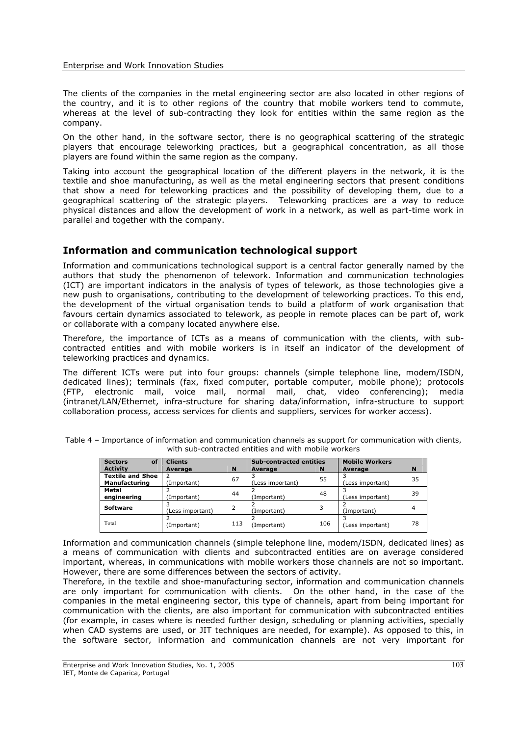The clients of the companies in the metal engineering sector are also located in other regions of the country, and it is to other regions of the country that mobile workers tend to commute, whereas at the level of sub-contracting they look for entities within the same region as the company.

On the other hand, in the software sector, there is no geographical scattering of the strategic players that encourage teleworking practices, but a geographical concentration, as all those players are found within the same region as the company.

Taking into account the geographical location of the different players in the network, it is the textile and shoe manufacturing, as well as the metal engineering sectors that present conditions that show a need for teleworking practices and the possibility of developing them, due to a geographical scattering of the strategic players. Teleworking practices are a way to reduce physical distances and allow the development of work in a network, as well as part-time work in parallel and together with the company.

# **Information and communication technological support**

Information and communications technological support is a central factor generally named by the authors that study the phenomenon of telework. Information and communication technologies (ICT) are important indicators in the analysis of types of telework, as those technologies give a new push to organisations, contributing to the development of teleworking practices. To this end, the development of the virtual organisation tends to build a platform of work organisation that favours certain dynamics associated to telework, as people in remote places can be part of, work or collaborate with a company located anywhere else.

Therefore, the importance of ICTs as a means of communication with the clients, with subcontracted entities and with mobile workers is in itself an indicator of the development of teleworking practices and dynamics.

The different ICTs were put into four groups: channels (simple telephone line, modem/ISDN, dedicated lines); terminals (fax, fixed computer, portable computer, mobile phone); protocols (FTP, electronic mail, voice mail, normal mail, chat, video conferencing); media (intranet/LAN/Ethernet, infra-structure for sharing data/information, infra-structure to support collaboration process, access services for clients and suppliers, services for worker access).

| of<br><b>Sectors</b>    | <b>Clients</b>   |     |                  | <b>Sub-contracted entities</b> |                  | <b>Mobile Workers</b> |  |
|-------------------------|------------------|-----|------------------|--------------------------------|------------------|-----------------------|--|
| <b>Activity</b>         | Average          | N   | Average          | N                              | Average          | N                     |  |
| <b>Textile and Shoe</b> |                  | 67  |                  | 55                             |                  | 35                    |  |
| <b>Manufacturing</b>    | (Important)      |     | (Less important) |                                | (Less important) |                       |  |
| Metal                   |                  | 44  |                  | 48                             |                  | 39                    |  |
| engineering             | (Important)      |     | (Important)      |                                | (Less important) |                       |  |
| Software                |                  |     |                  | 3                              |                  |                       |  |
|                         | (Less important) |     | (Important)      |                                | (Important)      |                       |  |
|                         |                  |     |                  |                                |                  |                       |  |
| Total                   | (Important)      | 113 | (Important)      | 106                            | (Less important) | 78                    |  |
|                         |                  |     |                  |                                |                  |                       |  |

Table 4 – Importance of information and communication channels as support for communication with clients, with sub-contracted entities and with mobile workers

Information and communication channels (simple telephone line, modem/ISDN, dedicated lines) as a means of communication with clients and subcontracted entities are on average considered important, whereas, in communications with mobile workers those channels are not so important. However, there are some differences between the sectors of activity.

Therefore, in the textile and shoe-manufacturing sector, information and communication channels are only important for communication with clients. On the other hand, in the case of the companies in the metal engineering sector, this type of channels, apart from being important for communication with the clients, are also important for communication with subcontracted entities (for example, in cases where is needed further design, scheduling or planning activities, specially when CAD systems are used, or JIT techniques are needed, for example). As opposed to this, in the software sector, information and communication channels are not very important for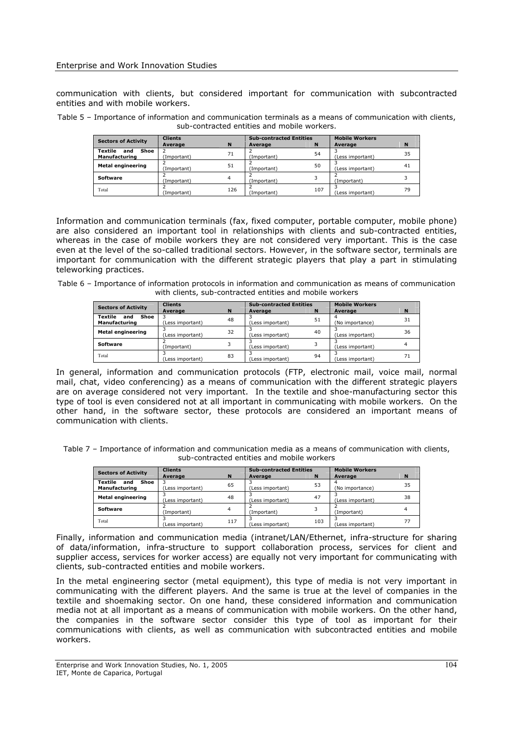communication with clients, but considered important for communication with subcontracted entities and with mobile workers.

Table 5 – Importance of information and communication terminals as a means of communication with clients, sub-contracted entities and mobile workers.

| <b>Sectors of Activity</b>              | <b>Clients</b> |     | <b>Sub-contracted Entities</b> |     | <b>Mobile Workers</b> |    |
|-----------------------------------------|----------------|-----|--------------------------------|-----|-----------------------|----|
|                                         | Average        | N   | Average                        | N   | Average               | N  |
| Textile<br>Shoe<br>and<br>Manufacturing | Important)     | 71  | (Important)                    | 54  | (Less important)      | 35 |
| <b>Metal engineering</b>                | (Important)    | 51  | (Important)                    | 50  | (Less important)      | 41 |
| Software                                | (Important)    |     | (Important)                    |     | (Important)           |    |
| Total                                   | (Important)    | 126 | (Important)                    | 107 | (Less important)      | 79 |

Information and communication terminals (fax, fixed computer, portable computer, mobile phone) are also considered an important tool in relationships with clients and sub-contracted entities, whereas in the case of mobile workers they are not considered very important. This is the case even at the level of the so-called traditional sectors. However, in the software sector, terminals are important for communication with the different strategic players that play a part in stimulating teleworking practices.

Table 6 – Importance of information protocols in information and communication as means of communication with clients, sub-contracted entities and mobile workers

| <b>Sectors of Activity</b>    | <b>Clients</b>   |             | <b>Sub-contracted Entities</b> |    | <b>Mobile Workers</b> |    |
|-------------------------------|------------------|-------------|--------------------------------|----|-----------------------|----|
|                               | Average          | $\mathbf N$ | Average                        | N  | Average               | N  |
| <b>Textile</b><br>Shoe<br>and |                  | 48          |                                | 51 |                       | 31 |
| Manufacturing                 | (Less important) |             | (Less important)               |    | (No importance)       |    |
| <b>Metal engineering</b>      |                  | 32          |                                | 40 |                       | 36 |
|                               | (Less important) |             | (Less important)               |    | (Less important)      |    |
| Software                      |                  |             |                                |    |                       |    |
|                               | Important)       |             | (Less important)               |    | (Less important)      |    |
| Total                         |                  | 83          |                                | 94 |                       |    |
|                               | (Less important) |             | (Less important)               |    | (Less important)      |    |

In general, information and communication protocols (FTP, electronic mail, voice mail, normal mail, chat, video conferencing) as a means of communication with the different strategic players are on average considered not very important. In the textile and shoe-manufacturing sector this type of tool is even considered not at all important in communicating with mobile workers. On the other hand, in the software sector, these protocols are considered an important means of communication with clients.

Table 7 – Importance of information and communication media as a means of communication with clients, sub-contracted entities and mobile workers

| <b>Sectors of Activity</b>                     | <b>Clients</b>   |     | <b>Sub-contracted Entities</b> |     | <b>Mobile Workers</b> |    |
|------------------------------------------------|------------------|-----|--------------------------------|-----|-----------------------|----|
|                                                | Average          | N   | Average                        | N   | Average               | N  |
| Textile<br>Shoe<br>and<br><b>Manufacturing</b> | Less important)  | 65  | (Less important)               | 53  | (No importance)       | 35 |
| <b>Metal engineering</b>                       | Less important)  | 48  | (Less important)               | 47  | (Less important)      | 38 |
| Software                                       | (Important)      |     | (Important)                    |     | (Important)           |    |
| Total                                          | (Less important) | 117 | (Less important)               | 103 | (Less important)      | 77 |

Finally, information and communication media (intranet/LAN/Ethernet, infra-structure for sharing of data/information, infra-structure to support collaboration process, services for client and supplier access, services for worker access) are equally not very important for communicating with clients, sub-contracted entities and mobile workers.

In the metal engineering sector (metal equipment), this type of media is not very important in communicating with the different players. And the same is true at the level of companies in the textile and shoemaking sector. On one hand, these considered information and communication media not at all important as a means of communication with mobile workers. On the other hand, the companies in the software sector consider this type of tool as important for their communications with clients, as well as communication with subcontracted entities and mobile workers.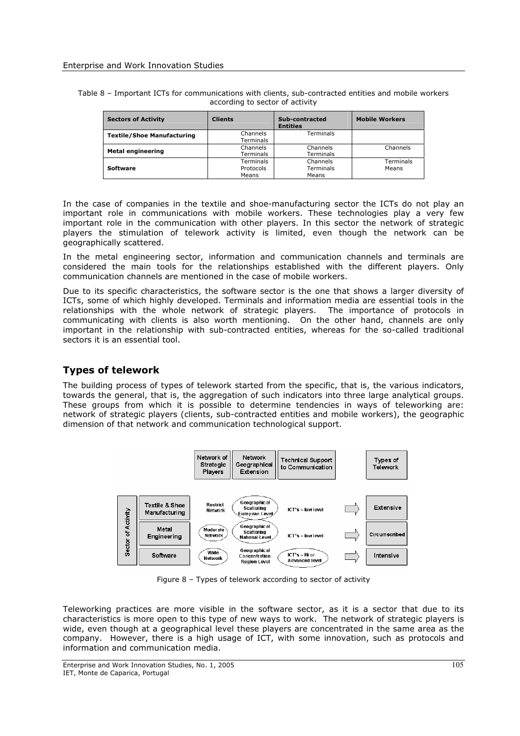| Table 8 – Important ICTs for communications with clients, sub-contracted entities and mobile workers |  |
|------------------------------------------------------------------------------------------------------|--|
| according to sector of activity                                                                      |  |

| <b>Sectors of Activity</b>        | <b>Clients</b>   | Sub-contracted<br><b>Entities</b> | <b>Mobile Workers</b> |
|-----------------------------------|------------------|-----------------------------------|-----------------------|
| <b>Textile/Shoe Manufacturing</b> | Channels         | Terminals                         |                       |
|                                   | Terminals        |                                   |                       |
| <b>Metal engineering</b>          | Channels         | Channels                          | Channels              |
|                                   | <b>Terminals</b> | Terminals                         |                       |
|                                   | <b>Terminals</b> | Channels                          | Terminals             |
| <b>Software</b>                   | Protocols        | Terminals                         | Means                 |
|                                   | Means            | Means                             |                       |

In the case of companies in the textile and shoe-manufacturing sector the ICTs do not play an important role in communications with mobile workers. These technologies play a very few important role in the communication with other players. In this sector the network of strategic players the stimulation of telework activity is limited, even though the network can be geographically scattered.

In the metal engineering sector, information and communication channels and terminals are considered the main tools for the relationships established with the different players. Only communication channels are mentioned in the case of mobile workers.

Due to its specific characteristics, the software sector is the one that shows a larger diversity of ICTs, some of which highly developed. Terminals and information media are essential tools in the relationships with the whole network of strategic players. The importance of protocols in communicating with clients is also worth mentioning. On the other hand, channels are only important in the relationship with sub-contracted entities, whereas for the so-called traditional sectors it is an essential tool.

# **Types of telework**

The building process of types of telework started from the specific, that is, the various indicators, towards the general, that is, the aggregation of such indicators into three large analytical groups. These groups from which it is possible to determine tendencies in ways of teleworking are: network of strategic players (clients, sub-contracted entities and mobile workers), the geographic dimension of that network and communication technological support.



Figure 8 – Types of telework according to sector of activity

Teleworking practices are more visible in the software sector, as it is a sector that due to its characteristics is more open to this type of new ways to work. The network of strategic players is wide, even though at a geographical level these players are concentrated in the same area as the company. However, there is a high usage of ICT, with some innovation, such as protocols and information and communication media.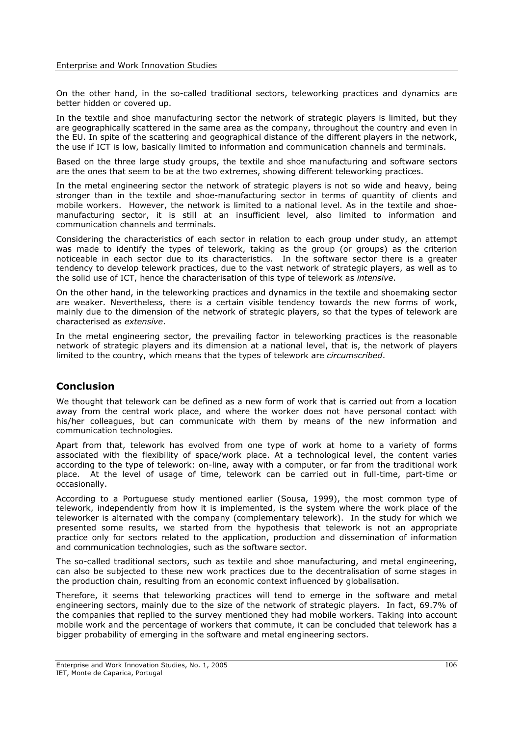On the other hand, in the so-called traditional sectors, teleworking practices and dynamics are better hidden or covered up.

In the textile and shoe manufacturing sector the network of strategic players is limited, but they are geographically scattered in the same area as the company, throughout the country and even in the EU. In spite of the scattering and geographical distance of the different players in the network, the use if ICT is low, basically limited to information and communication channels and terminals.

Based on the three large study groups, the textile and shoe manufacturing and software sectors are the ones that seem to be at the two extremes, showing different teleworking practices.

In the metal engineering sector the network of strategic players is not so wide and heavy, being stronger than in the textile and shoe-manufacturing sector in terms of quantity of clients and mobile workers. However, the network is limited to a national level. As in the textile and shoemanufacturing sector, it is still at an insufficient level, also limited to information and communication channels and terminals.

Considering the characteristics of each sector in relation to each group under study, an attempt was made to identify the types of telework, taking as the group (or groups) as the criterion noticeable in each sector due to its characteristics. In the software sector there is a greater tendency to develop telework practices, due to the vast network of strategic players, as well as to the solid use of ICT, hence the characterisation of this type of telework as *intensive*.

On the other hand, in the teleworking practices and dynamics in the textile and shoemaking sector are weaker. Nevertheless, there is a certain visible tendency towards the new forms of work, mainly due to the dimension of the network of strategic players, so that the types of telework are characterised as *extensive*.

In the metal engineering sector, the prevailing factor in teleworking practices is the reasonable network of strategic players and its dimension at a national level, that is, the network of players limited to the country, which means that the types of telework are *circumscribed*.

# **Conclusion**

We thought that telework can be defined as a new form of work that is carried out from a location away from the central work place, and where the worker does not have personal contact with his/her colleagues, but can communicate with them by means of the new information and communication technologies.

Apart from that, telework has evolved from one type of work at home to a variety of forms associated with the flexibility of space/work place. At a technological level, the content varies according to the type of telework: on-line, away with a computer, or far from the traditional work place. At the level of usage of time, telework can be carried out in full-time, part-time or occasionally.

According to a Portuguese study mentioned earlier (Sousa, 1999), the most common type of telework, independently from how it is implemented, is the system where the work place of the teleworker is alternated with the company (complementary telework). In the study for which we presented some results, we started from the hypothesis that telework is not an appropriate practice only for sectors related to the application, production and dissemination of information and communication technologies, such as the software sector.

The so-called traditional sectors, such as textile and shoe manufacturing, and metal engineering, can also be subjected to these new work practices due to the decentralisation of some stages in the production chain, resulting from an economic context influenced by globalisation.

Therefore, it seems that teleworking practices will tend to emerge in the software and metal engineering sectors, mainly due to the size of the network of strategic players. In fact, 69.7% of the companies that replied to the survey mentioned they had mobile workers. Taking into account mobile work and the percentage of workers that commute, it can be concluded that telework has a bigger probability of emerging in the software and metal engineering sectors.

Enterprise and Work Innovation Studies, No. 1, 2005 IET, Monte de Caparica, Portugal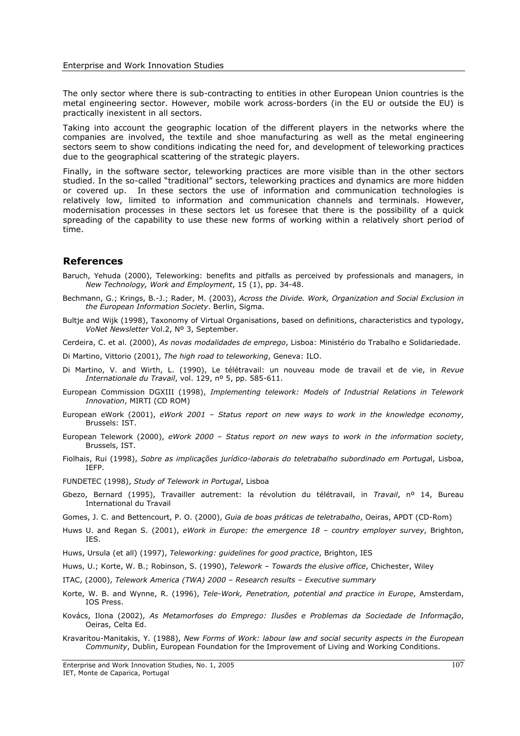The only sector where there is sub-contracting to entities in other European Union countries is the metal engineering sector. However, mobile work across-borders (in the EU or outside the EU) is practically inexistent in all sectors.

Taking into account the geographic location of the different players in the networks where the companies are involved, the textile and shoe manufacturing as well as the metal engineering sectors seem to show conditions indicating the need for, and development of teleworking practices due to the geographical scattering of the strategic players.

Finally, in the software sector, teleworking practices are more visible than in the other sectors studied. In the so-called "traditional" sectors, teleworking practices and dynamics are more hidden or covered up. In these sectors the use of information and communication technologies is relatively low, limited to information and communication channels and terminals. However, modernisation processes in these sectors let us foresee that there is the possibility of a quick spreading of the capability to use these new forms of working within a relatively short period of time.

#### **References**

- Baruch, Yehuda (2000), Teleworking: benefits and pitfalls as perceived by professionals and managers, in *New Technology, Work and Employment*, 15 (1), pp. 34-48.
- Bechmann, G.; Krings, B.-J.; Rader, M. (2003), *Across the Divide. Work, Organization and Social Exclusion in the European Information Society*. Berlin, Sigma.
- Bultje and Wijk (1998), Taxonomy of Virtual Organisations, based on definitions, characteristics and typology, *VoNet Newsletter* Vol.2, Nº 3, September.

Cerdeira, C. et al. (2000), *As novas modalidades de emprego*, Lisboa: Ministério do Trabalho e Solidariedade.

Di Martino, Vittorio (2001), *The high road to teleworking*, Geneva: ILO.

- Di Martino, V. and Wirth, L. (1990), Le télétravail: un nouveau mode de travail et de vie, in *Revue Internationale du Travail*, vol. 129, nº 5, pp. 585-611.
- European Commission DGXIII (1998), *Implementing telework: Models of Industrial Relations in Telework Innovation*, MIRTI (CD ROM)
- European eWork (2001), *eWork 2001 Status report on new ways to work in the knowledge economy*, Brussels: IST.
- European Telework (2000), *eWork 2000 Status report on new ways to work in the information society*, Brussels, IST.
- Fiolhais, Rui (1998), *Sobre as implicações jurídico-laborais do teletrabalho subordinado em Portuga*l, Lisboa, IEFP.
- FUNDETEC (1998), *Study of Telework in Portugal*, Lisboa
- Gbezo, Bernard (1995), Travailler autrement: la révolution du télétravail, in *Travail*, nº 14, Bureau International du Travail
- Gomes, J. C. and Bettencourt, P. O. (2000), *Guia de boas práticas de teletrabalho*, Oeiras, APDT (CD-Rom)
- Huws U. and Regan S. (2001), *eWork in Europe: the emergence 18 country employer survey*, Brighton, IES.
- Huws, Ursula (et all) (1997), *Teleworking: guidelines for good practice*, Brighton, IES
- Huws, U.; Korte, W. B.; Robinson, S. (1990), *Telework Towards the elusive office*, Chichester, Wiley

ITAC, (2000), *Telework America (TWA) 2000 – Research results – Executive summary*

- Korte, W. B. and Wynne, R. (1996), *Tele-Work, Penetration, potential and practice in Europe*, Amsterdam, IOS Press.
- Kovács, Ilona (2002), *As Metamorfoses do Emprego: Ilusões e Problemas da Sociedade de Informação*, Oeiras, Celta Ed.
- Kravaritou-Manitakis, Y. (1988), *New Forms of Work: labour law and social security aspects in the European Community*, Dublin, European Foundation for the Improvement of Living and Working Conditions.

Enterprise and Work Innovation Studies, No. 1, 2005